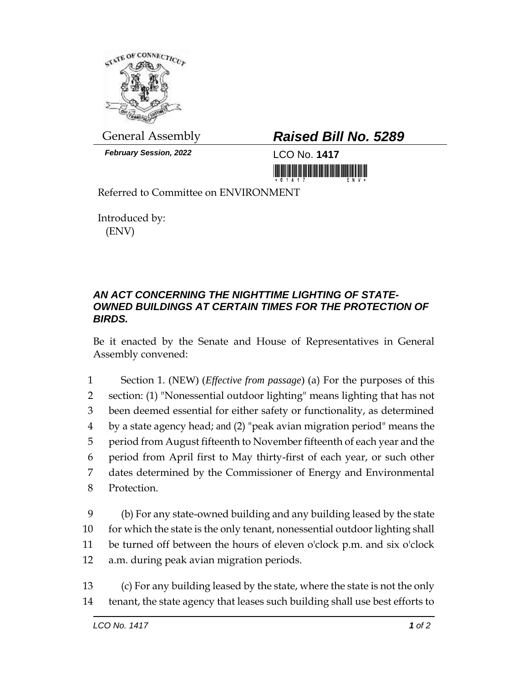

*February Session, 2022* LCO No. **1417**

## General Assembly *Raised Bill No. 5289*

Referred to Committee on ENVIRONMENT

Introduced by: (ENV)

## *AN ACT CONCERNING THE NIGHTTIME LIGHTING OF STATE-OWNED BUILDINGS AT CERTAIN TIMES FOR THE PROTECTION OF BIRDS.*

Be it enacted by the Senate and House of Representatives in General Assembly convened:

 Section 1. (NEW) (*Effective from passage*) (a) For the purposes of this section: (1) "Nonessential outdoor lighting" means lighting that has not been deemed essential for either safety or functionality, as determined by a state agency head; and (2) "peak avian migration period" means the period from August fifteenth to November fifteenth of each year and the period from April first to May thirty-first of each year, or such other dates determined by the Commissioner of Energy and Environmental Protection.

 (b) For any state-owned building and any building leased by the state for which the state is the only tenant, nonessential outdoor lighting shall be turned off between the hours of eleven o'clock p.m. and six o'clock a.m. during peak avian migration periods.

13 (c) For any building leased by the state, where the state is not the only 14 tenant, the state agency that leases such building shall use best efforts to